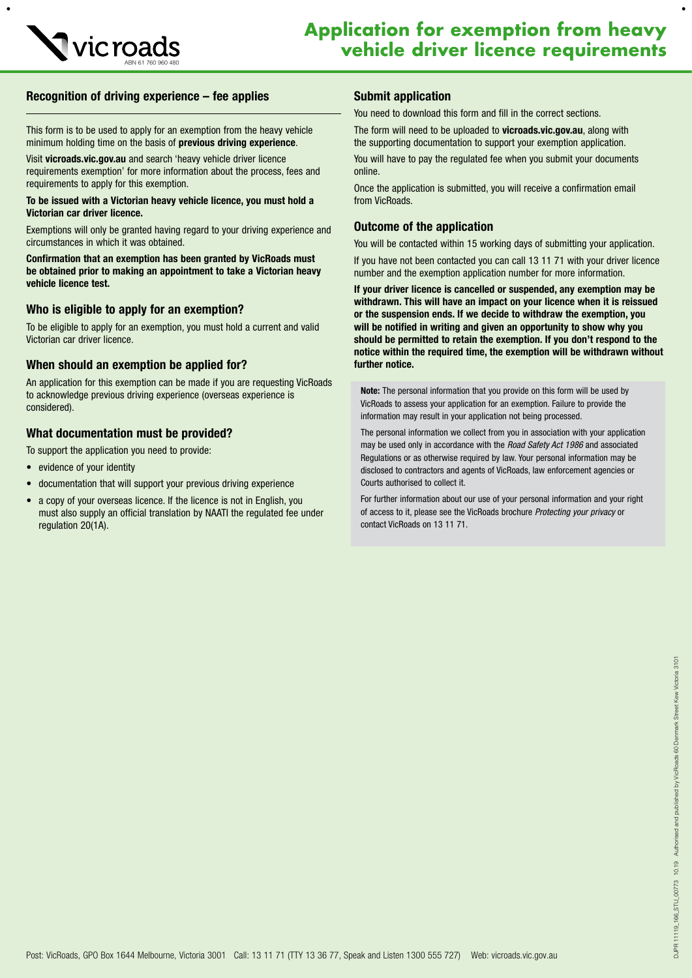

 $\bullet$ 

# Recognition of driving experience – fee applies

This form is to be used to apply for an exemption from the heavy vehicle minimum holding time on the basis of previous driving experience.

Visit vicroads.vic.gov.au and search 'heavy vehicle driver licence requirements exemption' for more information about the process, fees and requirements to apply for this exemption.

#### To be issued with a Victorian heavy vehicle licence, you must hold a Victorian car driver licence.

Exemptions will only be granted having regard to your driving experience and circumstances in which it was obtained.

Confirmation that an exemption has been granted by VicRoads must be obtained prior to making an appointment to take a Victorian heavy vehicle licence test.

### Who is eligible to apply for an exemption?

To be eligible to apply for an exemption, you must hold a current and valid Victorian car driver licence.

### When should an exemption be applied for?

An application for this exemption can be made if you are requesting VicRoads to acknowledge previous driving experience (overseas experience is considered).

### What documentation must be provided?

To support the application you need to provide:

- evidence of your identity
- documentation that will support your previous driving experience
- a copy of your overseas licence. If the licence is not in English, you must also supply an official translation by NAATI the regulated fee under regulation 20(1A).

## Submit application

You need to download this form and fill in the correct sections.

The form will need to be uploaded to vicroads.vic.gov.au, along with the supporting documentation to support your exemption application.

You will have to pay the regulated fee when you submit your documents online.

Once the application is submitted, you will receive a confirmation email from VicRoads.

## Outcome of the application

You will be contacted within 15 working days of submitting your application.

If you have not been contacted you can call 13 11 71 with your driver licence number and the exemption application number for more information.

If your driver licence is cancelled or suspended, any exemption may be withdrawn. This will have an impact on your licence when it is reissued or the suspension ends. If we decide to withdraw the exemption, you will be notified in writing and given an opportunity to show why you should be permitted to retain the exemption. If you don't respond to the notice within the required time, the exemption will be withdrawn without further notice.

Note: The personal information that you provide on this form will be used by VicRoads to assess your application for an exemption. Failure to provide the information may result in your application not being processed.

The personal information we collect from you in association with your application may be used only in accordance with the *Road Safety Act 1986* and associated Regulations or as otherwise required by law. Your personal information may be disclosed to contractors and agents of VicRoads, law enforcement agencies or Courts authorised to collect it.

For further information about our use of your personal information and your right of access to it, please see the VicRoads brochure *Protecting your privacy* or contact VicRoads on 13 11 71.